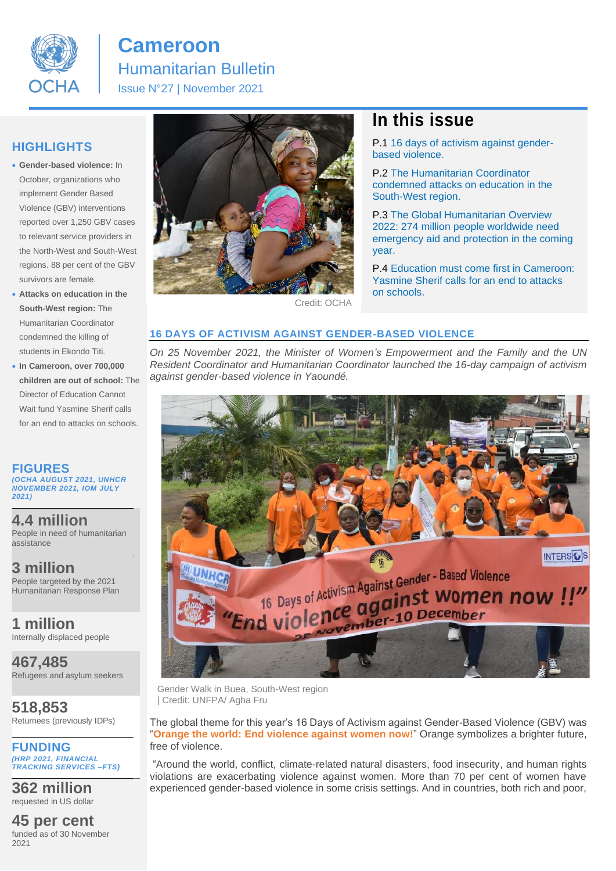

# **Cameroon** Humanitarian Bulletin Issue N°27 | November 2021

## **HIGHLIGHTS**

- **Gender-based violence:** In October, organizations who implement Gender Based Violence (GBV) interventions reported over 1,250 GBV cases to relevant service providers in the North-West and South-West regions. 88 per cent of the GBV survivors are female.
- **Attacks on education in the South-West region:** The Humanitarian Coordinator condemned the killing of students in Ekondo Titi.
- **In Cameroon, over 700,000 children are out of school:** The Director of Education Cannot Wait fund Yasmine Sherif calls for an end to attacks on schools.

**FIGURES**  *(OCHA AUGUST 2021, UNHCR NOVEMBER 2021, IOM JULY 2021)*

**4.4 million** People in need of humanitarian assistance

**3 million**  People targeted by the 2021 Humanitarian Response Plan

**1 million** Internally displaced people

**467,485** Refugees and asylum seekers

**518,853** Returnees (previously IDPs)

**FUNDING** *(HRP 2021, FINANCIAL TRACKING SERVICES –FTS)*

**362 million** requested in US dollar

**45 per cent** funded as of 30 November 2021



#### Credit: OCHA

## **In this issue**

P.1 16 days of activism against genderbased violence.

P.2 The Humanitarian Coordinator condemned attacks on education in the South-West region.

P.3 The Global Humanitarian Overview 2022: 274 million people worldwide need emergency aid and protection in the coming year.

P.4 Education must come first in Cameroon: Yasmine Sherif calls for an end to attacks on schools.

#### **16 DAYS OF ACTIVISM AGAINST GENDER-BASED VIOLENCE**

*On 25 November 2021, the Minister of Women's Empowerment and the Family and the UN Resident Coordinator and Humanitarian Coordinator launched the 16-day campaign of activism against gender-based violence in Yaoundé.*



Gender Walk in Buea, South-West region | Credit: UNFPA/ Agha Fru

The global theme for this year's 16 Days of Activism against Gender-Based Violence (GBV) was "**Orange the world: End violence against women now!**" Orange symbolizes a brighter future, free of violence.

"Around the world, conflict, climate-related natural disasters, food insecurity, and human rights violations are exacerbating violence against women. More than 70 per cent of women have experienced gender-based violence in some crisis settings. And in countries, both rich and poor,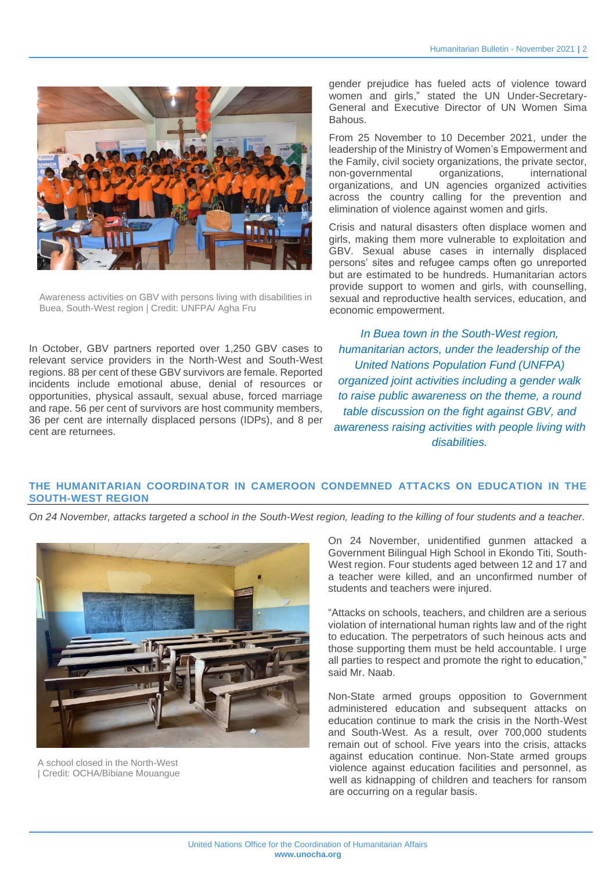

Awareness activities on GBV with persons living with disabilities in Buea, South-West region | Credit: UNFPA/ Agha Fru

In October, GBV partners reported over 1,250 GBV cases to relevant service providers in the North-West and South-West regions. 88 per cent of these GBV survivors are female. Reported incidents include emotional abuse, denial of resources or opportunities, physical assault, sexual abuse, forced marriage and rape. 56 per cent of survivors are host community members, 36 per cent are internally displaced persons (IDPs), and 8 per cent are returnees.

gender prejudice has fueled acts of violence toward women and girls," stated the UN Under-Secretary-General and Executive Director of UN Women Sima Bahous.

From 25 November to 10 December 2021, under the leadership of the Ministry of Women's Empowerment and the Family, civil society organizations, the private sector, non-governmental organizations, international organizations, and UN agencies organized activities across the country calling for the prevention and elimination of violence against women and girls.

Crisis and natural disasters often displace women and girls, making them more vulnerable to exploitation and GBV. Sexual abuse cases in internally displaced persons' sites and refugee camps often go unreported but are estimated to be hundreds. Humanitarian actors provide support to women and girls, with counselling, sexual and reproductive health services, education, and economic empowerment.

*In Buea town in the South-West region, humanitarian actors, under the leadership of the United Nations Population Fund (UNFPA) organized joint activities including a gender walk to raise public awareness on the theme, a round table discussion on the fight against GBV, and awareness raising activities with people living with disabilities.*

### **THE HUMANITARIAN COORDINATOR IN CAMEROON CONDEMNED ATTACKS ON EDUCATION IN THE SOUTH-WEST REGION**

*On 24 November, attacks targeted a school in the South-West region, leading to the killing of four students and a teacher.* 



A school closed in the North-West | Credit: OCHA/Bibiane Mouangue

On 24 November, unidentified gunmen attacked a Government Bilingual High School in Ekondo Titi, South-West region. Four students aged between 12 and 17 and a teacher were killed, and an unconfirmed number of students and teachers were injured.

"Attacks on schools, teachers, and children are a serious violation of international human rights law and of the right to education. The perpetrators of such heinous acts and those supporting them must be held accountable. I urge all parties to respect and promote the right to education," said Mr. Naab.

Non-State armed groups opposition to Government administered education and subsequent attacks on education continue to mark the crisis in the North-West and South-West. As a result, over 700,000 students remain out of school. Five years into the crisis, attacks against education continue. Non-State armed groups violence against education facilities and personnel, as well as kidnapping of children and teachers for ransom are occurring on a regular basis.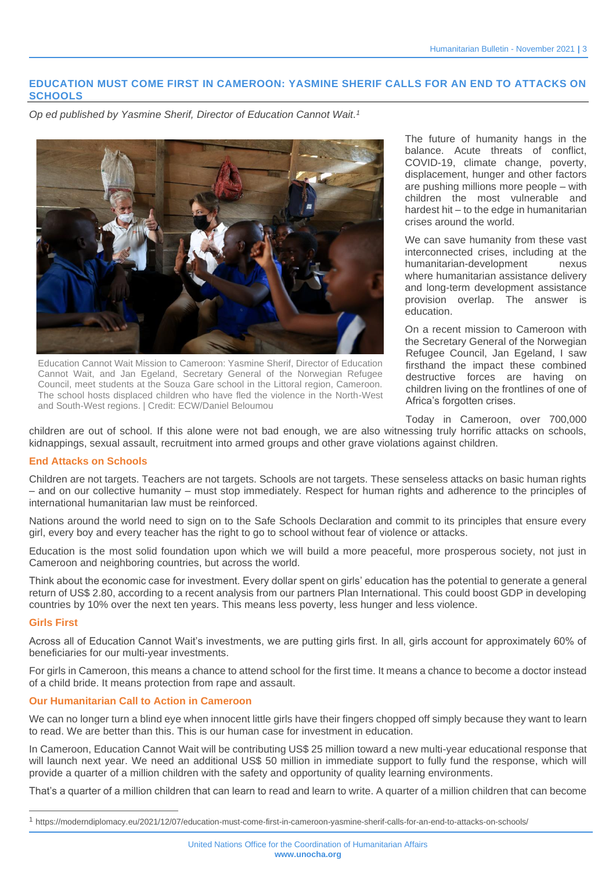#### **EDUCATION MUST COME FIRST IN CAMEROON: YASMINE SHERIF CALLS FOR AN END TO ATTACKS ON SCHOOLS**

*Op ed published by Yasmine Sherif, Director of Education Cannot Wait. 1*



Education Cannot Wait Mission to Cameroon: Yasmine Sherif, Director of Education Cannot Wait, and Jan Egeland, Secretary General of the Norwegian Refugee Council, meet students at the Souza Gare school in the Littoral region, Cameroon. The school hosts displaced children who have fled the violence in the North-West and South-West regions. | Credit: ECW/Daniel Beloumou

The future of humanity hangs in the balance. Acute threats of conflict, COVID-19, climate change, poverty, displacement, hunger and other factors are pushing millions more people – with children the most vulnerable and hardest hit – to the edge in humanitarian crises around the world.

We can save humanity from these vast interconnected crises, including at the humanitarian-development nexus where humanitarian assistance delivery and long-term development assistance provision overlap. The answer is education.

On a recent mission to Cameroon with the Secretary General of the Norwegian Refugee Council, Jan Egeland, I saw firsthand the impact these combined destructive forces are having on children living on the frontlines of one of Africa's forgotten crises.

Today in Cameroon, over 700,000

children are out of school. If this alone were not bad enough, we are also witnessing truly horrific attacks on schools, kidnappings, sexual assault, recruitment into armed groups and other grave violations against children.

#### **End Attacks on Schools**

Children are not targets. Teachers are not targets. Schools are not targets. These senseless attacks on basic human rights – and on our collective humanity – must stop immediately. Respect for human rights and adherence to the principles of international humanitarian law must be reinforced.

Nations around the world need to sign on to the Safe Schools Declaration and commit to its principles that ensure every girl, every boy and every teacher has the right to go to school without fear of violence or attacks.

Education is the most solid foundation upon which we will build a more peaceful, more prosperous society, not just in Cameroon and neighboring countries, but across the world.

Think about the economic case for investment. Every dollar spent on girls' education has the potential to generate a general return of US\$ 2.80, according to a recent analysis from our partners Plan International. This could boost GDP in developing countries by 10% over the next ten years. This means less poverty, less hunger and less violence.

#### **Girls First**

Across all of Education Cannot Wait's investments, we are putting girls first. In all, girls account for approximately 60% of beneficiaries for our multi-year investments.

For girls in Cameroon, this means a chance to attend school for the first time. It means a chance to become a doctor instead of a child bride. It means protection from rape and assault.

#### **Our Humanitarian Call to Action in Cameroon**

We can no longer turn a blind eye when innocent little girls have their fingers chopped off simply because they want to learn to read. We are better than this. This is our human case for investment in education.

In Cameroon, Education Cannot Wait will be contributing US\$ 25 million toward a new multi-year educational response that will launch next year. We need an additional US\$ 50 million in immediate support to fully fund the response, which will provide a quarter of a million children with the safety and opportunity of quality learning environments.

That's a quarter of a million children that can learn to read and learn to write. A quarter of a million children that can become

<sup>1</sup> https://moderndiplomacy.eu/2021/12/07/education-must-come-first-in-cameroon-yasmine-sherif-calls-for-an-end-to-attacks-on-schools/